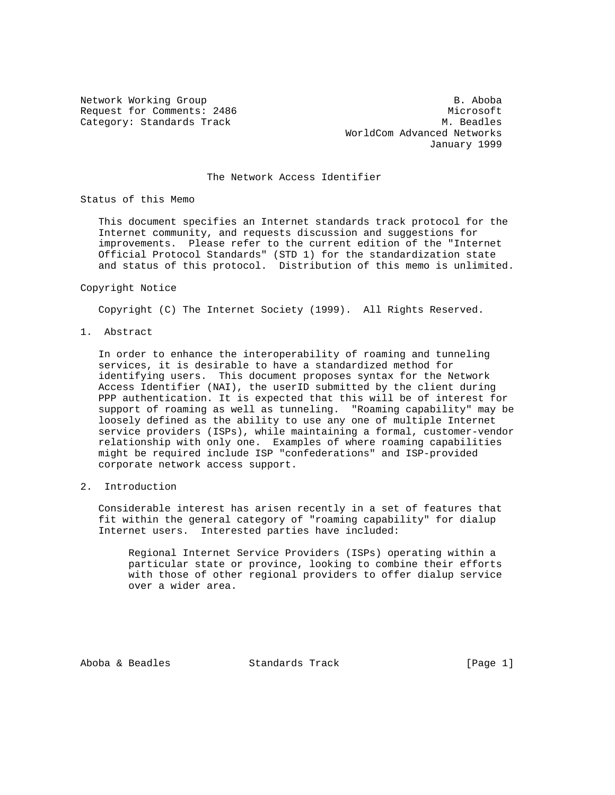Network Working Group and the set of the set of the set of the B. Aboba

Request for Comments: 2486 Microsoft Category: Standards Track M. Beadles WorldCom Advanced Networks January 1999

## The Network Access Identifier

Status of this Memo

 This document specifies an Internet standards track protocol for the Internet community, and requests discussion and suggestions for improvements. Please refer to the current edition of the "Internet Official Protocol Standards" (STD 1) for the standardization state and status of this protocol. Distribution of this memo is unlimited.

#### Copyright Notice

Copyright (C) The Internet Society (1999). All Rights Reserved.

1. Abstract

 In order to enhance the interoperability of roaming and tunneling services, it is desirable to have a standardized method for identifying users. This document proposes syntax for the Network Access Identifier (NAI), the userID submitted by the client during PPP authentication. It is expected that this will be of interest for support of roaming as well as tunneling. "Roaming capability" may be loosely defined as the ability to use any one of multiple Internet service providers (ISPs), while maintaining a formal, customer-vendor relationship with only one. Examples of where roaming capabilities might be required include ISP "confederations" and ISP-provided corporate network access support.

## 2. Introduction

 Considerable interest has arisen recently in a set of features that fit within the general category of "roaming capability" for dialup Internet users. Interested parties have included:

 Regional Internet Service Providers (ISPs) operating within a particular state or province, looking to combine their efforts with those of other regional providers to offer dialup service over a wider area.

Aboba & Beadles Standards Track [Page 1]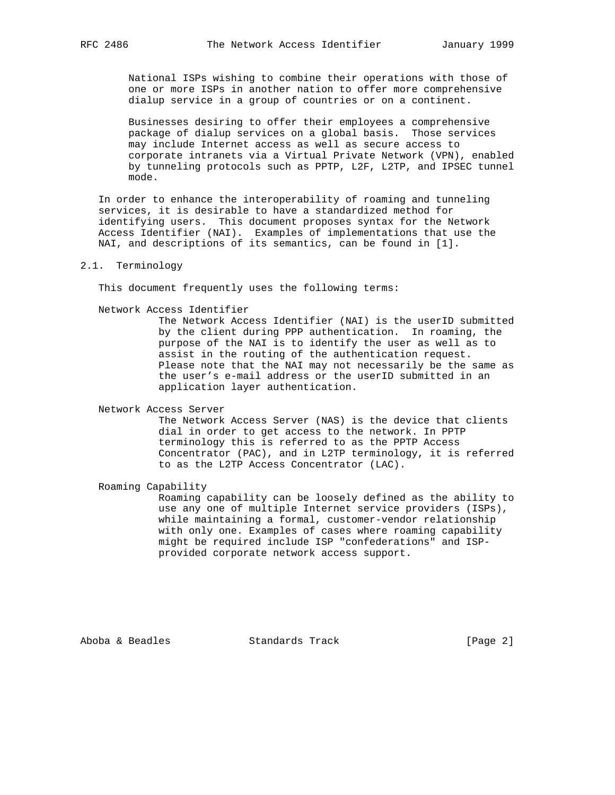National ISPs wishing to combine their operations with those of one or more ISPs in another nation to offer more comprehensive dialup service in a group of countries or on a continent.

 Businesses desiring to offer their employees a comprehensive package of dialup services on a global basis. Those services may include Internet access as well as secure access to corporate intranets via a Virtual Private Network (VPN), enabled by tunneling protocols such as PPTP, L2F, L2TP, and IPSEC tunnel mode.

 In order to enhance the interoperability of roaming and tunneling services, it is desirable to have a standardized method for identifying users. This document proposes syntax for the Network Access Identifier (NAI). Examples of implementations that use the NAI, and descriptions of its semantics, can be found in [1].

## 2.1. Terminology

This document frequently uses the following terms:

Network Access Identifier

 The Network Access Identifier (NAI) is the userID submitted by the client during PPP authentication. In roaming, the purpose of the NAI is to identify the user as well as to assist in the routing of the authentication request. Please note that the NAI may not necessarily be the same as the user's e-mail address or the userID submitted in an application layer authentication.

Network Access Server

 The Network Access Server (NAS) is the device that clients dial in order to get access to the network. In PPTP terminology this is referred to as the PPTP Access Concentrator (PAC), and in L2TP terminology, it is referred to as the L2TP Access Concentrator (LAC).

Roaming Capability

 Roaming capability can be loosely defined as the ability to use any one of multiple Internet service providers (ISPs), while maintaining a formal, customer-vendor relationship with only one. Examples of cases where roaming capability might be required include ISP "confederations" and ISP provided corporate network access support.

Aboba & Beadles Standards Track [Page 2]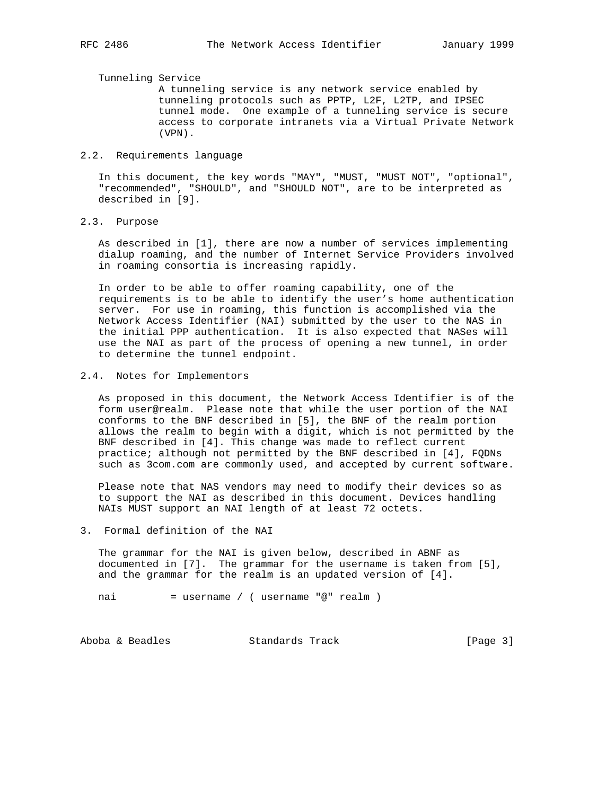Tunneling Service

 A tunneling service is any network service enabled by tunneling protocols such as PPTP, L2F, L2TP, and IPSEC tunnel mode. One example of a tunneling service is secure access to corporate intranets via a Virtual Private Network (VPN).

## 2.2. Requirements language

 In this document, the key words "MAY", "MUST, "MUST NOT", "optional", "recommended", "SHOULD", and "SHOULD NOT", are to be interpreted as described in [9].

2.3. Purpose

 As described in [1], there are now a number of services implementing dialup roaming, and the number of Internet Service Providers involved in roaming consortia is increasing rapidly.

 In order to be able to offer roaming capability, one of the requirements is to be able to identify the user's home authentication server. For use in roaming, this function is accomplished via the Network Access Identifier (NAI) submitted by the user to the NAS in the initial PPP authentication. It is also expected that NASes will use the NAI as part of the process of opening a new tunnel, in order to determine the tunnel endpoint.

### 2.4. Notes for Implementors

 As proposed in this document, the Network Access Identifier is of the form user@realm. Please note that while the user portion of the NAI conforms to the BNF described in [5], the BNF of the realm portion allows the realm to begin with a digit, which is not permitted by the BNF described in [4]. This change was made to reflect current practice; although not permitted by the BNF described in [4], FQDNs such as 3com.com are commonly used, and accepted by current software.

 Please note that NAS vendors may need to modify their devices so as to support the NAI as described in this document. Devices handling NAIs MUST support an NAI length of at least 72 octets.

## 3. Formal definition of the NAI

 The grammar for the NAI is given below, described in ABNF as documented in [7]. The grammar for the username is taken from [5], and the grammar for the realm is an updated version of [4].

nai  $=$  username / ( username "@" realm )

Aboba & Beadles Standards Track [Page 3]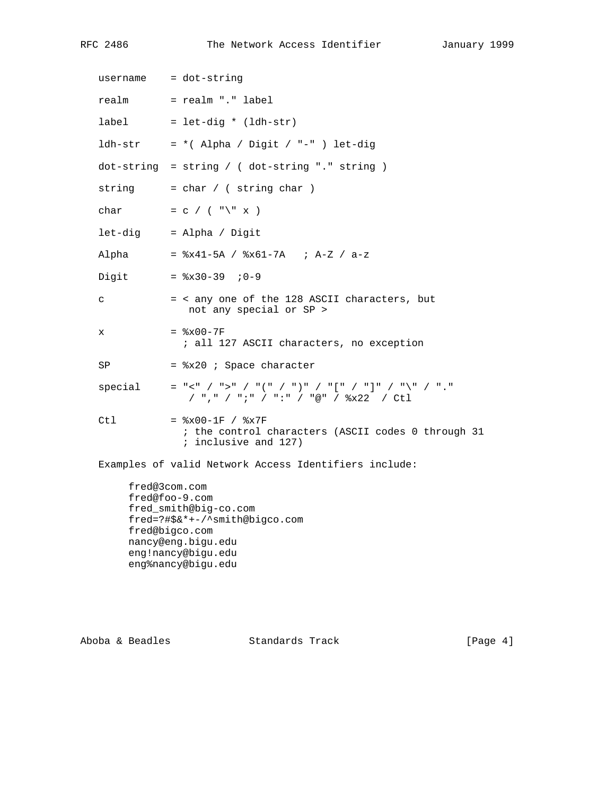RFC 2486 The Network Access Identifier January 1999

| $usename = dot-string$ |                                                                                                    |
|------------------------|----------------------------------------------------------------------------------------------------|
|                        | realm = realm "." label                                                                            |
| label                  | $=$ let-dig * (ldh-str)                                                                            |
|                        | $ldh-str = *$ (Alpha / Digit / "-" ) let-dig                                                       |
|                        | $dot-string$ = string / ( $dot-string$ "." string )                                                |
|                        | string $= char / (string char)$                                                                    |
| char                   | $= C$ / ( "\" x )                                                                                  |
|                        | let-dig = Alpha / Digit                                                                            |
| Alpha                  | = $x41-5A$ / $x61-7A$ ; A-Z / a-z                                                                  |
| Digit                  | $=$ $2x30-39$ ; 0-9                                                                                |
| C                      | = < any one of the 128 ASCII characters, but<br>not any special or SP >                            |
| x                      | $=$ $\&x00-7F$<br>; all 127 ASCII characters, no exception                                         |
| SP                     | = %x20 ; Space character                                                                           |
| special                | $=$ "<" / ">" / "(" / ")" / "[" / "]" / "\" / "."<br>/ ", " / "; " / ": " / "@" / %x22 / Ctl       |
| Ctl                    | $=$ $x00-1F$ / $x7F$<br>; the control characters (ASCII codes 0 through 31<br>; inclusive and 127) |

Examples of valid Network Access Identifiers include:

 fred@3com.com fred@foo-9.com fred\_smith@big-co.com fred=?#\$&\*+-/^smith@bigco.com fred@bigco.com nancy@eng.bigu.edu eng!nancy@bigu.edu eng%nancy@bigu.edu

Aboba & Beadles Standards Track [Page 4]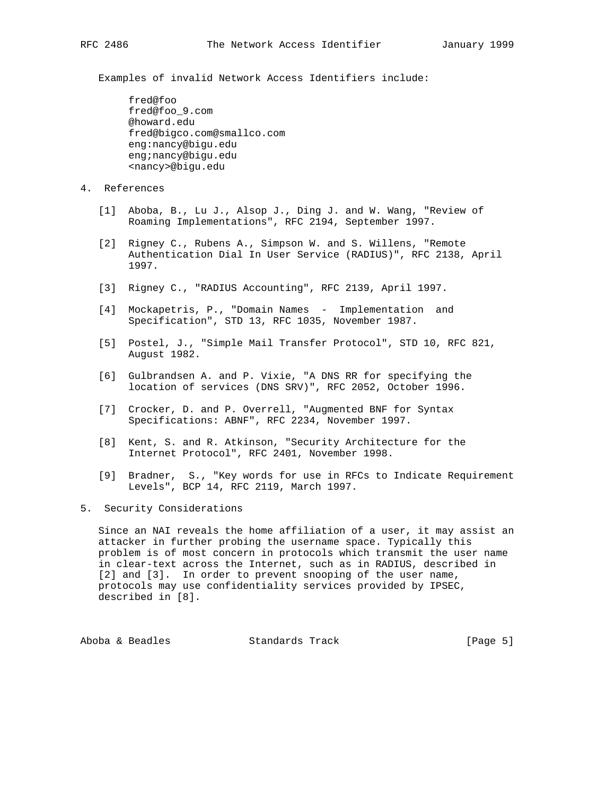Examples of invalid Network Access Identifiers include:

 fred@foo fred@foo\_9.com @howard.edu fred@bigco.com@smallco.com eng:nancy@bigu.edu eng;nancy@bigu.edu <nancy>@bigu.edu

- 4. References
	- [1] Aboba, B., Lu J., Alsop J., Ding J. and W. Wang, "Review of Roaming Implementations", RFC 2194, September 1997.
	- [2] Rigney C., Rubens A., Simpson W. and S. Willens, "Remote Authentication Dial In User Service (RADIUS)", RFC 2138, April 1997.
	- [3] Rigney C., "RADIUS Accounting", RFC 2139, April 1997.
	- [4] Mockapetris, P., "Domain Names Implementation and Specification", STD 13, RFC 1035, November 1987.
	- [5] Postel, J., "Simple Mail Transfer Protocol", STD 10, RFC 821, August 1982.
	- [6] Gulbrandsen A. and P. Vixie, "A DNS RR for specifying the location of services (DNS SRV)", RFC 2052, October 1996.
	- [7] Crocker, D. and P. Overrell, "Augmented BNF for Syntax Specifications: ABNF", RFC 2234, November 1997.
	- [8] Kent, S. and R. Atkinson, "Security Architecture for the Internet Protocol", RFC 2401, November 1998.
	- [9] Bradner, S., "Key words for use in RFCs to Indicate Requirement Levels", BCP 14, RFC 2119, March 1997.
- 5. Security Considerations

 Since an NAI reveals the home affiliation of a user, it may assist an attacker in further probing the username space. Typically this problem is of most concern in protocols which transmit the user name in clear-text across the Internet, such as in RADIUS, described in [2] and [3]. In order to prevent snooping of the user name, protocols may use confidentiality services provided by IPSEC, described in [8].

Aboba & Beadles Standards Track [Page 5]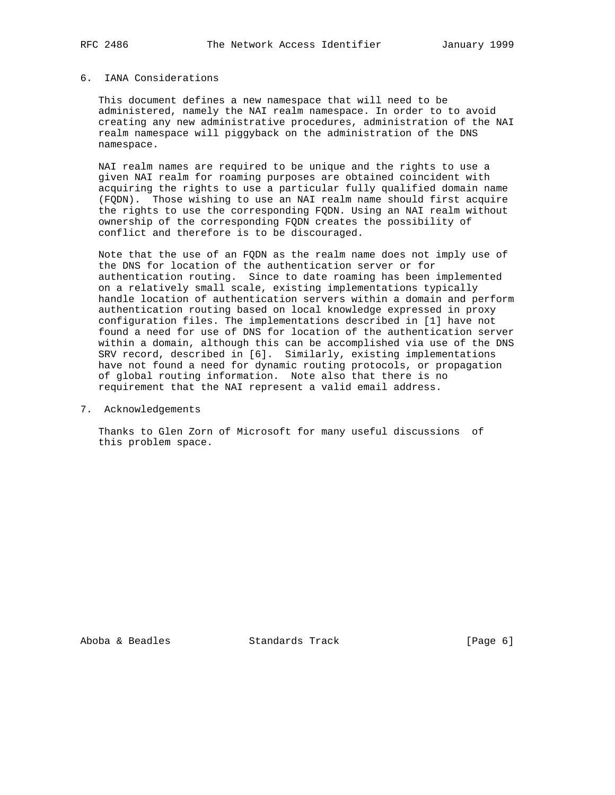## 6. IANA Considerations

 This document defines a new namespace that will need to be administered, namely the NAI realm namespace. In order to to avoid creating any new administrative procedures, administration of the NAI realm namespace will piggyback on the administration of the DNS namespace.

 NAI realm names are required to be unique and the rights to use a given NAI realm for roaming purposes are obtained coincident with acquiring the rights to use a particular fully qualified domain name (FQDN). Those wishing to use an NAI realm name should first acquire the rights to use the corresponding FQDN. Using an NAI realm without ownership of the corresponding FQDN creates the possibility of conflict and therefore is to be discouraged.

 Note that the use of an FQDN as the realm name does not imply use of the DNS for location of the authentication server or for authentication routing. Since to date roaming has been implemented on a relatively small scale, existing implementations typically handle location of authentication servers within a domain and perform authentication routing based on local knowledge expressed in proxy configuration files. The implementations described in [1] have not found a need for use of DNS for location of the authentication server within a domain, although this can be accomplished via use of the DNS SRV record, described in [6]. Similarly, existing implementations have not found a need for dynamic routing protocols, or propagation of global routing information. Note also that there is no requirement that the NAI represent a valid email address.

7. Acknowledgements

 Thanks to Glen Zorn of Microsoft for many useful discussions of this problem space.

Aboba & Beadles Standards Track (Page 6)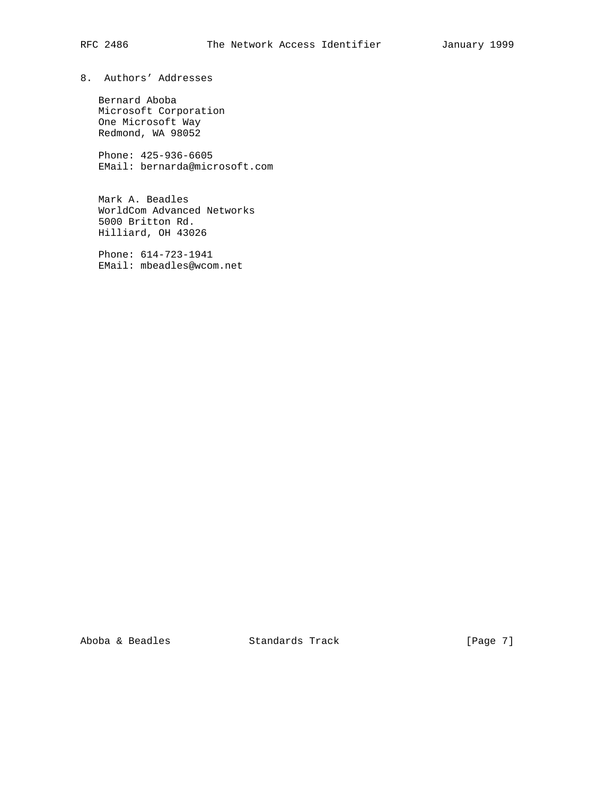# 8. Authors' Addresses

 Bernard Aboba Microsoft Corporation One Microsoft Way Redmond, WA 98052

 Phone: 425-936-6605 EMail: bernarda@microsoft.com

 Mark A. Beadles WorldCom Advanced Networks 5000 Britton Rd. Hilliard, OH 43026

 Phone: 614-723-1941 EMail: mbeadles@wcom.net